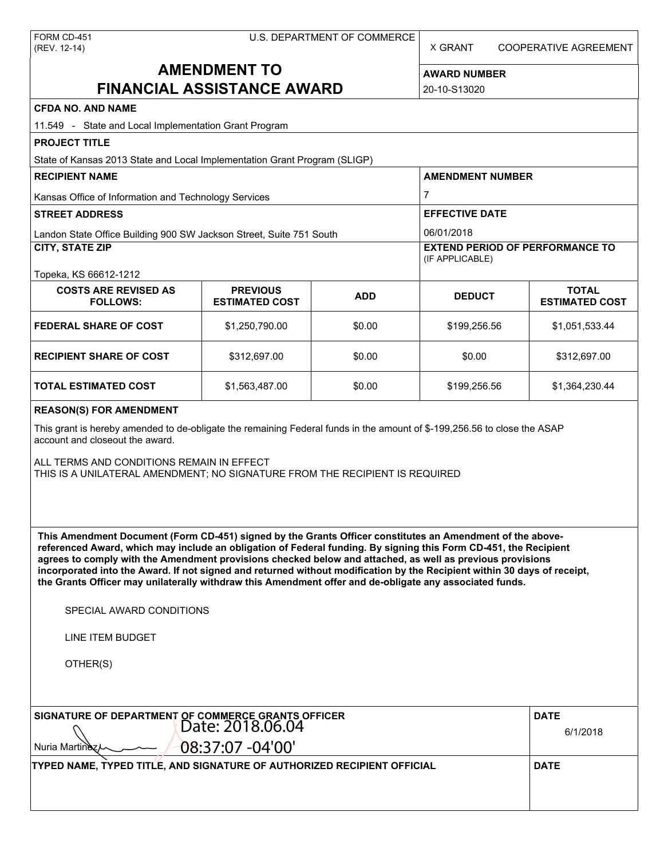X GRANT COOPERATIVE AGREEMENT

# **AMENDMENT TO FINANCIAL ASSISTANCE AWARD**

**AWARD NUMBER** 20-10-S13020

| <b>CFDA NO. AND NAME</b>                                                                                                                                                                                                                                                                                                                                                                                                                                                                                                                                                          |                                          |            |                                                                         |                                       |  |  |
|-----------------------------------------------------------------------------------------------------------------------------------------------------------------------------------------------------------------------------------------------------------------------------------------------------------------------------------------------------------------------------------------------------------------------------------------------------------------------------------------------------------------------------------------------------------------------------------|------------------------------------------|------------|-------------------------------------------------------------------------|---------------------------------------|--|--|
| 11.549 - State and Local Implementation Grant Program                                                                                                                                                                                                                                                                                                                                                                                                                                                                                                                             |                                          |            |                                                                         |                                       |  |  |
| <b>PROJECT TITLE</b>                                                                                                                                                                                                                                                                                                                                                                                                                                                                                                                                                              |                                          |            |                                                                         |                                       |  |  |
| State of Kansas 2013 State and Local Implementation Grant Program (SLIGP)<br><b>RECIPIENT NAME</b>                                                                                                                                                                                                                                                                                                                                                                                                                                                                                |                                          |            | <b>AMENDMENT NUMBER</b>                                                 |                                       |  |  |
|                                                                                                                                                                                                                                                                                                                                                                                                                                                                                                                                                                                   |                                          |            |                                                                         |                                       |  |  |
| Kansas Office of Information and Technology Services                                                                                                                                                                                                                                                                                                                                                                                                                                                                                                                              |                                          |            |                                                                         | 7                                     |  |  |
| <b>STREET ADDRESS</b>                                                                                                                                                                                                                                                                                                                                                                                                                                                                                                                                                             |                                          |            | <b>EFFECTIVE DATE</b>                                                   |                                       |  |  |
| Landon State Office Building 900 SW Jackson Street, Suite 751 South<br><b>CITY, STATE ZIP</b>                                                                                                                                                                                                                                                                                                                                                                                                                                                                                     |                                          |            | 06/01/2018<br><b>EXTEND PERIOD OF PERFORMANCE TO</b><br>(IF APPLICABLE) |                                       |  |  |
| Topeka, KS 66612-1212                                                                                                                                                                                                                                                                                                                                                                                                                                                                                                                                                             |                                          |            |                                                                         |                                       |  |  |
| <b>COSTS ARE REVISED AS</b><br><b>FOLLOWS:</b>                                                                                                                                                                                                                                                                                                                                                                                                                                                                                                                                    | <b>PREVIOUS</b><br><b>ESTIMATED COST</b> | <b>ADD</b> | <b>DEDUCT</b>                                                           | <b>TOTAL</b><br><b>ESTIMATED COST</b> |  |  |
| <b>FEDERAL SHARE OF COST</b>                                                                                                                                                                                                                                                                                                                                                                                                                                                                                                                                                      | \$1,250,790.00                           | \$0.00     | \$199,256.56                                                            | \$1,051,533.44                        |  |  |
| <b>RECIPIENT SHARE OF COST</b>                                                                                                                                                                                                                                                                                                                                                                                                                                                                                                                                                    | \$312,697.00                             | \$0.00     | \$0.00                                                                  | \$312,697.00                          |  |  |
| <b>TOTAL ESTIMATED COST</b>                                                                                                                                                                                                                                                                                                                                                                                                                                                                                                                                                       | \$1,563,487.00                           | \$0.00     | \$199,256.56                                                            | \$1,364,230.44                        |  |  |
| <b>REASON(S) FOR AMENDMENT</b>                                                                                                                                                                                                                                                                                                                                                                                                                                                                                                                                                    |                                          |            |                                                                         |                                       |  |  |
| This grant is hereby amended to de-obligate the remaining Federal funds in the amount of \$-199,256.56 to close the ASAP<br>account and closeout the award.                                                                                                                                                                                                                                                                                                                                                                                                                       |                                          |            |                                                                         |                                       |  |  |
| ALL TERMS AND CONDITIONS REMAIN IN EFFECT<br>THIS IS A UNILATERAL AMENDMENT; NO SIGNATURE FROM THE RECIPIENT IS REQUIRED                                                                                                                                                                                                                                                                                                                                                                                                                                                          |                                          |            |                                                                         |                                       |  |  |
|                                                                                                                                                                                                                                                                                                                                                                                                                                                                                                                                                                                   |                                          |            |                                                                         |                                       |  |  |
|                                                                                                                                                                                                                                                                                                                                                                                                                                                                                                                                                                                   |                                          |            |                                                                         |                                       |  |  |
| This Amendment Document (Form CD-451) signed by the Grants Officer constitutes an Amendment of the above-<br>referenced Award, which may include an obligation of Federal funding. By signing this Form CD-451, the Recipient<br>agrees to comply with the Amendment provisions checked below and attached, as well as previous provisions<br>incorporated into the Award. If not signed and returned without modification by the Recipient within 30 days of receipt,<br>the Grants Officer may unilaterally withdraw this Amendment offer and de-obligate any associated funds. |                                          |            |                                                                         |                                       |  |  |
| SPECIAL AWARD CONDITIONS                                                                                                                                                                                                                                                                                                                                                                                                                                                                                                                                                          |                                          |            |                                                                         |                                       |  |  |
| <b>LINE ITEM BUDGET</b>                                                                                                                                                                                                                                                                                                                                                                                                                                                                                                                                                           |                                          |            |                                                                         |                                       |  |  |
| OTHER(S)                                                                                                                                                                                                                                                                                                                                                                                                                                                                                                                                                                          |                                          |            |                                                                         |                                       |  |  |
| SIGNATURE OF DEPARTMENT OF COMMERCE GRANTS OFFICER<br>Date: 2018.06.04<br>Nuria Martinez                                                                                                                                                                                                                                                                                                                                                                                                                                                                                          | 08:37:07 -04'00'                         |            |                                                                         | <b>DATE</b><br>6/1/2018               |  |  |
| TYPED NAME, TYPED TITLE, AND SIGNATURE OF AUTHORIZED RECIPIENT OFFICIAL                                                                                                                                                                                                                                                                                                                                                                                                                                                                                                           |                                          |            |                                                                         | <b>DATE</b>                           |  |  |